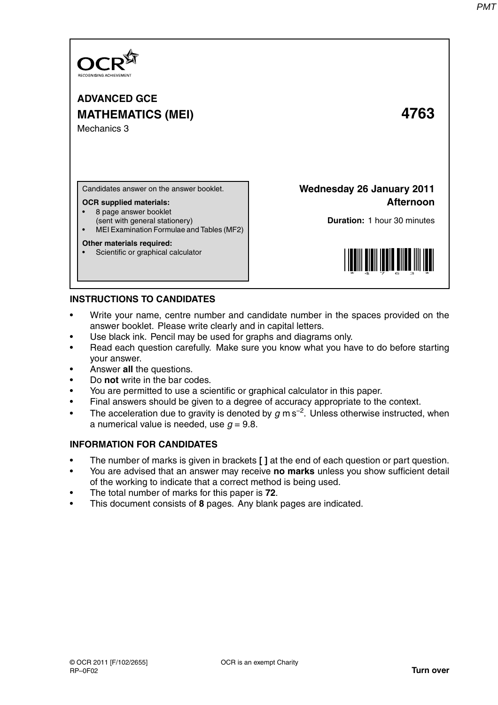

**ADVANCED GCE MATHEMATICS (MEI) 4763** Mechanics 3

Candidates answer on the answer booklet.

### **OCR supplied materials:**

- 8 page answer booklet
- (sent with general stationery)
- MEI Examination Formulae and Tables (MF2)

### **Other materials required:**

Scientific or graphical calculator

**Wednesday 26 January 2011 Afternoon**

**Duration:** 1 hour 30 minutes



## **INSTRUCTIONS TO CANDIDATES**

- Write your name, centre number and candidate number in the spaces provided on the answer booklet. Please write clearly and in capital letters.
- Use black ink. Pencil may be used for graphs and diagrams only.
- Read each question carefully. Make sure you know what you have to do before starting your answer.
- Answer **all** the questions.
- Do **not** write in the bar codes.
- You are permitted to use a scientific or graphical calculator in this paper.
- Final answers should be given to a degree of accuracy appropriate to the context.
- The acceleration due to gravity is denoted by  $g$  m s<sup>-2</sup>. Unless otherwise instructed, when a numerical value is needed, use  $q = 9.8$ .

## **INFORMATION FOR CANDIDATES**

- The number of marks is given in brackets **[ ]** at the end of each question or part question.
- You are advised that an answer may receive **no marks** unless you show sufficient detail of the working to indicate that a correct method is being used.
- The total number of marks for this paper is **72**.
- This document consists of **8** pages. Any blank pages are indicated.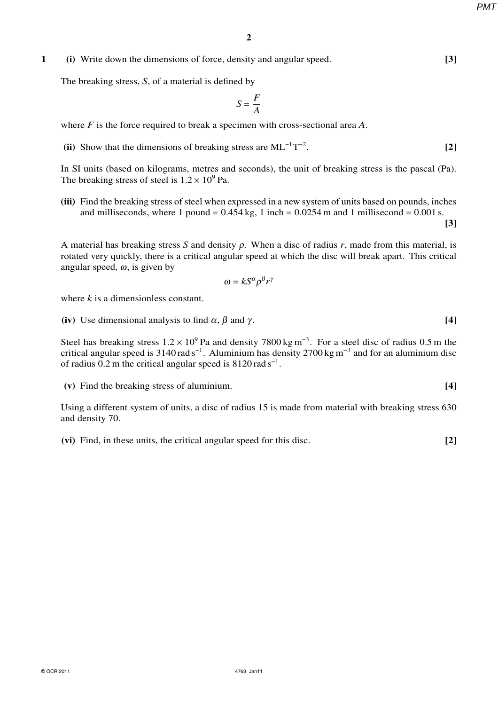*PMT*

# **1 (i)** Write down the dimensions of force, density and angular speed. **[3]**

The breaking stress, *S*, of a material is defined by

$$
S = \frac{F}{A}
$$

where *F* is the force required to break a specimen with cross-sectional area *A*.

(ii) Show that the dimensions of breaking stress are  $ML^{-1}T^{-2}$ . **[2]**

In SI units (based on kilograms, metres and seconds), the unit of breaking stress is the pascal (Pa). The breaking stress of steel is  $1.2 \times 10^9$  Pa.

**(iii)** Find the breaking stress of steel when expressed in a new system of units based on pounds, inches and milliseconds, where 1 pound =  $0.454$  kg, 1 inch =  $0.0254$  m and 1 millisecond =  $0.001$  s.

**[3]**

A material has breaking stress *S* and density <sup>ρ</sup>. When a disc of radius *r*, made from this material, is rotated very quickly, there is a critical angular speed at which the disc will break apart. This critical angular speed,  $\omega$ , is given by

$$
\omega = kS^{\alpha} \rho^{\beta} r^{\gamma}
$$

where *k* is a dimensionless constant.

(iv) Use dimensional analysis to find  $\alpha$ ,  $\beta$  and  $\gamma$ . **[4]** 

Steel has breaking stress  $1.2 \times 10^9$  Pa and density 7800 kg m<sup>-3</sup>. For a steel disc of radius 0.5 m the critical angular speed is 3140 rad s<sup>-1</sup>. Aluminium has density 2700 kg m<sup>-3</sup> and for an aluminium disc of radius 0.2 m the critical angular speed is  $8120 \text{ rad s}^{-1}$ .

**(v)** Find the breaking stress of aluminium. **[4]**

Using a different system of units, a disc of radius 15 is made from material with breaking stress 630 and density 70.

**(vi)** Find, in these units, the critical angular speed for this disc. **[2]**

© OCR 2011 4763 Jan11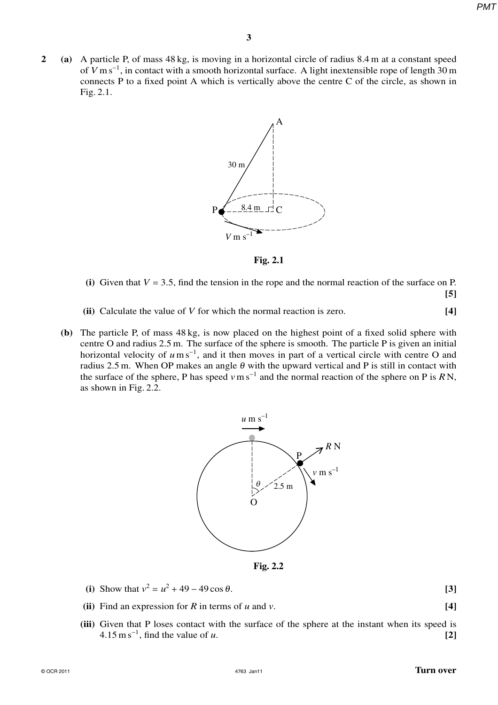*PMT*

**2 (a)** A particle P, of mass 48 kg, is moving in a horizontal circle of radius 8.4 m at a constant speed of *V* m s<sup>−1</sup>, in contact with a smooth horizontal surface. A light inextensible rope of length 30 m connects P to a fixed point A which is vertically above the centre C of the circle, as shown in Fig. 2.1.



**Fig. 2.1**

- (i) Given that  $V = 3.5$ , find the tension in the rope and the normal reaction of the surface on P. **[5]**
- **(ii)** Calculate the value of *V* for which the normal reaction is zero. **[4]**
- **(b)** The particle P, of mass 48 kg, is now placed on the highest point of a fixed solid sphere with centre O and radius 2.5 m. The surface of the sphere is smooth. The particle P is given an initial horizontal velocity of *u*m s<sup>-1</sup>, and it then moves in part of a vertical circle with centre O and radius 2.5 m. When OP makes an angle  $\theta$  with the upward vertical and P is still in contact with the surface of the sphere, P has speed *v*m s−<sup>1</sup> and the normal reaction of the sphere on P is *R* N, as shown in Fig. 2.2.



**Fig. 2.2**

- (i) Show that  $v^2 = u^2 + 49 49 \cos \theta$ . **[3]**
- **(ii)** Find an expression for *R* in terms of *u* and *v*. **[4]**
- **(iii)** Given that P loses contact with the surface of the sphere at the instant when its speed is  $4.15 \text{ m s}^{-1}$ , find the value of *u*. **[2]**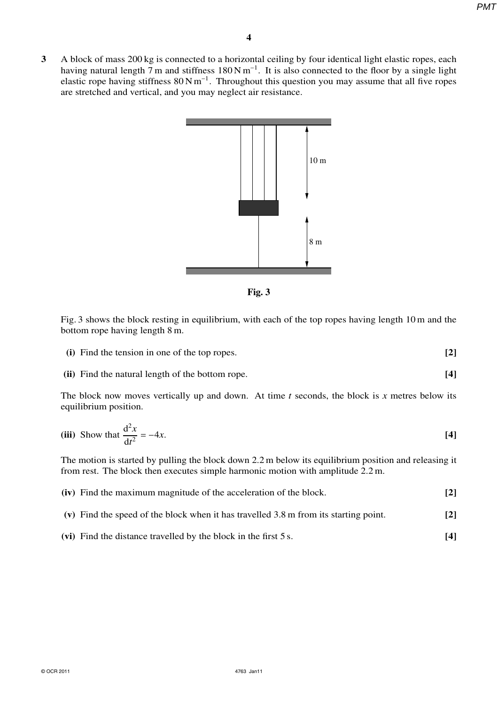**3** A block of mass 200 kg is connected to a horizontal ceiling by four identical light elastic ropes, each having natural length 7 m and stiffness  $180 \text{ N m}^{-1}$ . It is also connected to the floor by a single light elastic rope having stiffness  $80 \text{ N m}^{-1}$ . Throughout this question you may assume that all five ropes are stretched and vertical, and you may neglect air resistance.



**Fig. 3**

Fig. 3 shows the block resting in equilibrium, with each of the top ropes having length 10 m and the bottom rope having length 8 m.

- **(i)** Find the tension in one of the top ropes. **[2]**
- **(ii)** Find the natural length of the bottom rope. **[4]**

The block now moves vertically up and down. At time *t* seconds, the block is *x* metres below its equilibrium position.

(iii) Show that 
$$
\frac{d^2x}{dt^2} = -4x
$$
. [4]

The motion is started by pulling the block down 2.2 m below its equilibrium position and releasing it from rest. The block then executes simple harmonic motion with amplitude 2.2 m.

| (iv) Find the maximum magnitude of the acceleration of the block.                              |     |
|------------------------------------------------------------------------------------------------|-----|
| (v) Find the speed of the block when it has travelled $3.8 \text{ m}$ from its starting point. | [2] |

**(vi)** Find the distance travelled by the block in the first 5 s. **[4]**